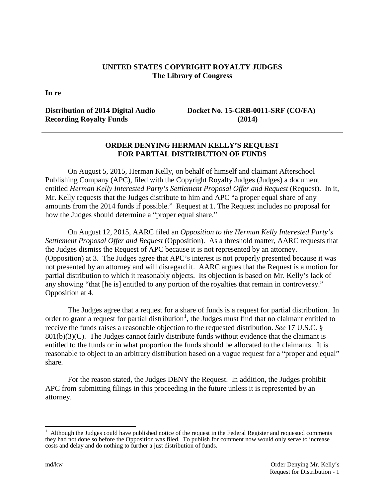## **UNITED STATES COPYRIGHT ROYALTY JUDGES The Library of Congress**

**In re**

## **Distribution of 2014 Digital Audio Recording Royalty Funds**

**Docket No. 15-CRB-0011-SRF (CO/FA) (2014)**

## **ORDER DENYING HERMAN KELLY'S REQUEST FOR PARTIAL DISTRIBUTION OF FUNDS**

On August 5, 2015, Herman Kelly, on behalf of himself and claimant Afterschool Publishing Company (APC), filed with the Copyright Royalty Judges (Judges) a document entitled *Herman Kelly Interested Party's Settlement Proposal Offer and Request* (Request). In it, Mr. Kelly requests that the Judges distribute to him and APC "a proper equal share of any amounts from the 2014 funds if possible." Request at 1. The Request includes no proposal for how the Judges should determine a "proper equal share."

On August 12, 2015, AARC filed an *Opposition to the Herman Kelly Interested Party's Settlement Proposal Offer and Request* (Opposition). As a threshold matter, AARC requests that the Judges dismiss the Request of APC because it is not represented by an attorney. (Opposition) at 3. The Judges agree that APC's interest is not properly presented because it was not presented by an attorney and will disregard it. AARC argues that the Request is a motion for partial distribution to which it reasonably objects. Its objection is based on Mr. Kelly's lack of any showing "that [he is] entitled to any portion of the royalties that remain in controversy." Opposition at 4.

The Judges agree that a request for a share of funds is a request for partial distribution. In order to grant a request for partial distribution<sup>[1](#page-0-0)</sup>, the Judges must find that no claimant entitled to receive the funds raises a reasonable objection to the requested distribution. *See* 17 U.S.C. §  $801(b)(3)(C)$ . The Judges cannot fairly distribute funds without evidence that the claimant is entitled to the funds or in what proportion the funds should be allocated to the claimants. It is reasonable to object to an arbitrary distribution based on a vague request for a "proper and equal" share.

For the reason stated, the Judges DENY the Request. In addition, the Judges prohibit APC from submitting filings in this proceeding in the future unless it is represented by an attorney.

<span id="page-0-0"></span> $\frac{1}{1}$  Although the Judges could have published notice of the request in the Federal Register and requested comments they had not done so before the Opposition was filed. To publish for comment now would only serve to increase costs and delay and do nothing to further a just distribution of funds.